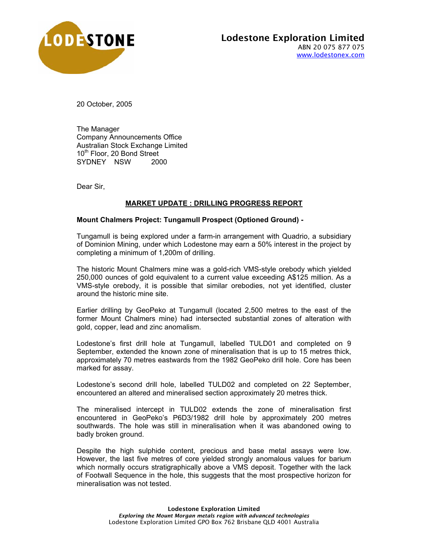

20 October, 2005

The Manager Company Announcements Office Australian Stock Exchange Limited 10<sup>th</sup> Floor, 20 Bond Street SYDNEY NSW 2000

Dear Sir,

## **MARKET UPDATE : DRILLING PROGRESS REPORT**

## **Mount Chalmers Project: Tungamull Prospect (Optioned Ground) -**

Tungamull is being explored under a farm-in arrangement with Quadrio, a subsidiary of Dominion Mining, under which Lodestone may earn a 50% interest in the project by completing a minimum of 1,200m of drilling.

The historic Mount Chalmers mine was a gold-rich VMS-style orebody which yielded 250,000 ounces of gold equivalent to a current value exceeding A\$125 million. As a VMS-style orebody, it is possible that similar orebodies, not yet identified, cluster around the historic mine site.

Earlier drilling by GeoPeko at Tungamull (located 2,500 metres to the east of the former Mount Chalmers mine) had intersected substantial zones of alteration with gold, copper, lead and zinc anomalism.

Lodestone's first drill hole at Tungamull, labelled TULD01 and completed on 9 September, extended the known zone of mineralisation that is up to 15 metres thick, approximately 70 metres eastwards from the 1982 GeoPeko drill hole. Core has been marked for assay.

Lodestone's second drill hole, labelled TULD02 and completed on 22 September, encountered an altered and mineralised section approximately 20 metres thick.

The mineralised intercept in TULD02 extends the zone of mineralisation first encountered in GeoPeko's P6D3/1982 drill hole by approximately 200 metres southwards. The hole was still in mineralisation when it was abandoned owing to badly broken ground.

Despite the high sulphide content, precious and base metal assays were low. However, the last five metres of core yielded strongly anomalous values for barium which normally occurs stratigraphically above a VMS deposit. Together with the lack of Footwall Sequence in the hole, this suggests that the most prospective horizon for mineralisation was not tested.